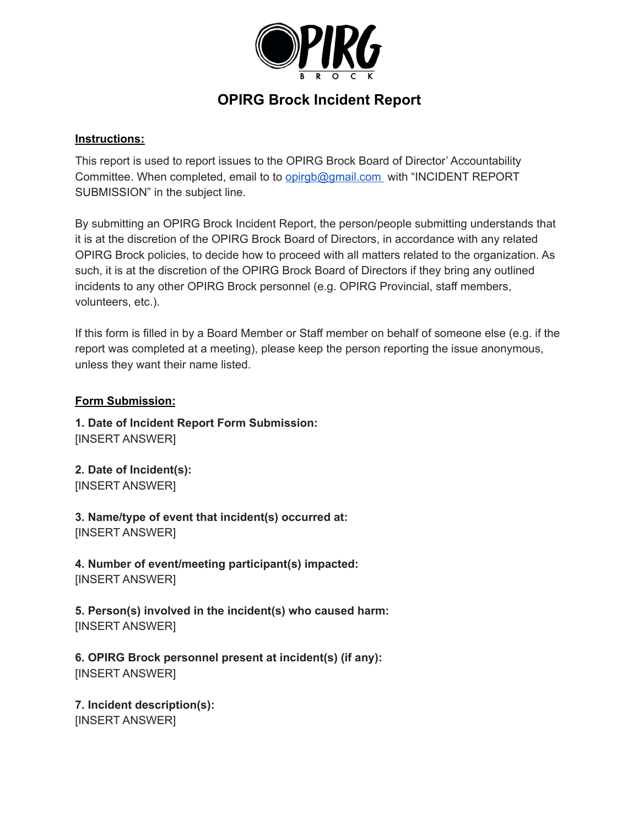

## **OPIRG Brock Incident Report**

## **Instructions:**

This report is used to report issues to the OPIRG Brock Board of Director' Accountability Committee. When completed, email to to [opirgb@gmail.com](mailto:opirgb@gmail.com) with "INCIDENT REPORT SUBMISSION" in the subject line.

By submitting an OPIRG Brock Incident Report, the person/people submitting understands that it is at the discretion of the OPIRG Brock Board of Directors, in accordance with any related OPIRG Brock policies, to decide how to proceed with all matters related to the organization. As such, it is at the discretion of the OPIRG Brock Board of Directors if they bring any outlined incidents to any other OPIRG Brock personnel (e.g. OPIRG Provincial, staff members, volunteers, etc.).

If this form is filled in by a Board Member or Staff member on behalf of someone else (e.g. if the report was completed at a meeting), please keep the person reporting the issue anonymous, unless they want their name listed.

## **Form Submission:**

**1. Date of Incident Report Form Submission:** [INSERT ANSWER]

**2. Date of Incident(s):** [INSERT ANSWER]

**3. Name/type of event that incident(s) occurred at:** [INSERT ANSWER]

**4. Number of event/meeting participant(s) impacted:** [INSERT ANSWER]

**5. Person(s) involved in the incident(s) who caused harm:** [INSERT ANSWER]

**6. OPIRG Brock personnel present at incident(s) (if any):** [INSERT ANSWER]

**7. Incident description(s):** [INSERT ANSWER]